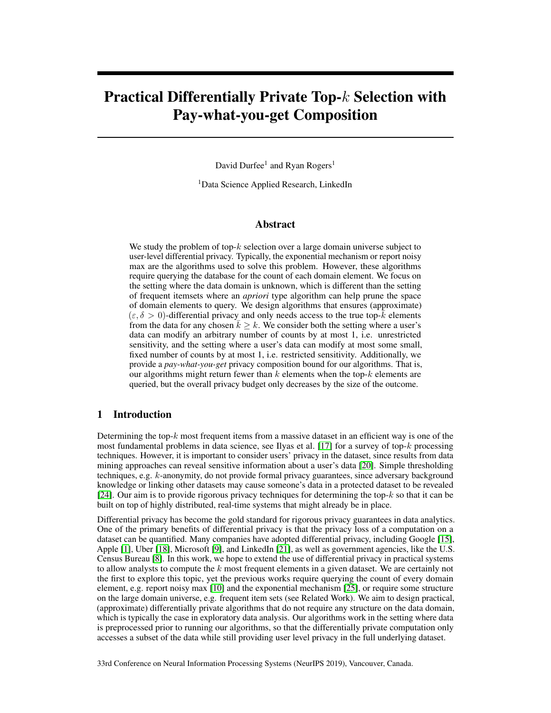# Practical Differentially Private Top-k Selection with Pay-what-you-get Composition

David Durfee<sup>1</sup> and Ryan Rogers<sup>1</sup>

<sup>1</sup>Data Science Applied Research, LinkedIn

# Abstract

We study the problem of top- $k$  selection over a large domain universe subject to user-level differential privacy. Typically, the exponential mechanism or report noisy max are the algorithms used to solve this problem. However, these algorithms require querying the database for the count of each domain element. We focus on the setting where the data domain is unknown, which is different than the setting of frequent itemsets where an *apriori* type algorithm can help prune the space of domain elements to query. We design algorithms that ensures (approximate)  $(\varepsilon, \delta > 0)$ -differential privacy and only needs access to the true top-k elements from the data for any chosen  $k > k$ . We consider both the setting where a user's data can modify an arbitrary number of counts by at most 1, i.e. unrestricted sensitivity, and the setting where a user's data can modify at most some small, fixed number of counts by at most 1, i.e. restricted sensitivity. Additionally, we provide a *pay-what-you-get* privacy composition bound for our algorithms. That is, our algorithms might return fewer than  $k$  elements when the top- $k$  elements are queried, but the overall privacy budget only decreases by the size of the outcome.

# 1 Introduction

Determining the top- $k$  most frequent items from a massive dataset in an efficient way is one of the most fundamental problems in data science, see Ilyas et al. [17] for a survey of top- $k$  processing techniques. However, it is important to consider users' privacy in the dataset, since results from data mining approaches can reveal sensitive information about a user's data [20]. Simple thresholding techniques, e.g. k-anonymity, do not provide formal privacy guarantees, since adversary background knowledge or linking other datasets may cause someone's data in a protected dataset to be revealed [24]. Our aim is to provide rigorous privacy techniques for determining the top- $k$  so that it can be built on top of highly distributed, real-time systems that might already be in place.

Differential privacy has become the gold standard for rigorous privacy guarantees in data analytics. One of the primary benefits of differential privacy is that the privacy loss of a computation on a dataset can be quantified. Many companies have adopted differential privacy, including Google [15], Apple [1], Uber [18], Microsoft [9], and LinkedIn [21], as well as government agencies, like the U.S. Census Bureau [8]. In this work, we hope to extend the use of differential privacy in practical systems to allow analysts to compute the  $k$  most frequent elements in a given dataset. We are certainly not the first to explore this topic, yet the previous works require querying the count of every domain element, e.g. report noisy max [10] and the exponential mechanism [25], or require some structure on the large domain universe, e.g. frequent item sets (see Related Work). We aim to design practical, (approximate) differentially private algorithms that do not require any structure on the data domain, which is typically the case in exploratory data analysis. Our algorithms work in the setting where data is preprocessed prior to running our algorithms, so that the differentially private computation only accesses a subset of the data while still providing user level privacy in the full underlying dataset.

33rd Conference on Neural Information Processing Systems (NeurIPS 2019), Vancouver, Canada.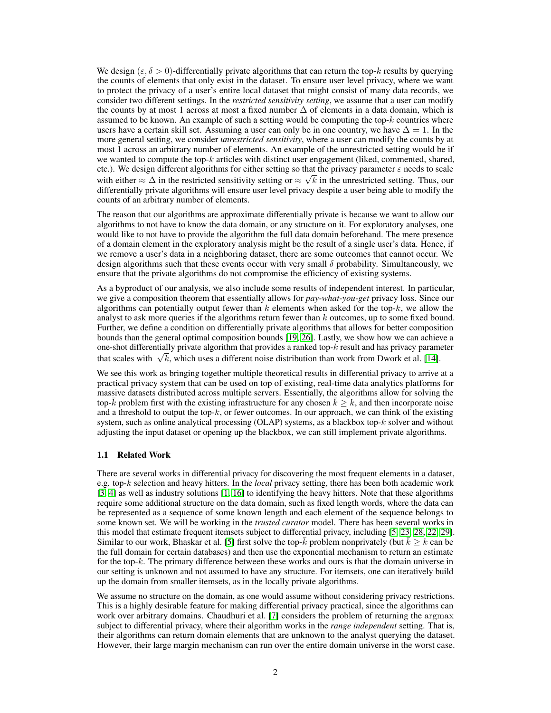We design  $(\varepsilon, \delta > 0)$ -differentially private algorithms that can return the top-k results by querying the counts of elements that only exist in the dataset. To ensure user level privacy, where we want to protect the privacy of a user's entire local dataset that might consist of many data records, we consider two different settings. In the *restricted sensitivity setting*, we assume that a user can modify the counts by at most 1 across at most a fixed number  $\Delta$  of elements in a data domain, which is assumed to be known. An example of such a setting would be computing the top- $k$  countries where users have a certain skill set. Assuming a user can only be in one country, we have  $\Delta = 1$ . In the more general setting, we consider *unrestricted sensitivity*, where a user can modify the counts by at most 1 across an arbitrary number of elements. An example of the unrestricted setting would be if we wanted to compute the top- $k$  articles with distinct user engagement (liked, commented, shared, etc.). We design different algorithms for either setting so that the privacy parameter  $\varepsilon$  needs to scale with either  $\approx \Delta$  in the restricted sensitivity setting or  $\approx \sqrt{k}$  in the unrestricted setting. Thus, our differentially private algorithms will ensure user level privacy despite a user being able to modify the counts of an arbitrary number of elements.

The reason that our algorithms are approximate differentially private is because we want to allow our algorithms to not have to know the data domain, or any structure on it. For exploratory analyses, one would like to not have to provide the algorithm the full data domain beforehand. The mere presence of a domain element in the exploratory analysis might be the result of a single user's data. Hence, if we remove a user's data in a neighboring dataset, there are some outcomes that cannot occur. We design algorithms such that these events occur with very small  $\delta$  probability. Simultaneously, we ensure that the private algorithms do not compromise the efficiency of existing systems.

As a byproduct of our analysis, we also include some results of independent interest. In particular, we give a composition theorem that essentially allows for *pay-what-you-get* privacy loss. Since our algorithms can potentially output fewer than  $k$  elements when asked for the top- $k$ , we allow the analyst to ask more queries if the algorithms return fewer than  $k$  outcomes, up to some fixed bound. Further, we define a condition on differentially private algorithms that allows for better composition bounds than the general optimal composition bounds [19, 26]. Lastly, we show how we can achieve a one-shot differentially private algorithm that provides a ranked top- $k$  result and has privacy parameter one-shot differentially private algorithm that provides a ranked top- $\kappa$  result and has privacy paramethat scales with  $\sqrt{k}$ , which uses a different noise distribution than work from Dwork et al. [14].

We see this work as bringing together multiple theoretical results in differential privacy to arrive at a practical privacy system that can be used on top of existing, real-time data analytics platforms for massive datasets distributed across multiple servers. Essentially, the algorithms allow for solving the top-k problem first with the existing infrastructure for any chosen  $k \geq k$ , and then incorporate noise and a threshold to output the top- $k$ , or fewer outcomes. In our approach, we can think of the existing system, such as online analytical processing (OLAP) systems, as a blackbox top-k solver and without adjusting the input dataset or opening up the blackbox, we can still implement private algorithms.

### 1.1 Related Work

There are several works in differential privacy for discovering the most frequent elements in a dataset, e.g. top-k selection and heavy hitters. In the *local* privacy setting, there has been both academic work [3, 4] as well as industry solutions [1, 16] to identifying the heavy hitters. Note that these algorithms require some additional structure on the data domain, such as fixed length words, where the data can be represented as a sequence of some known length and each element of the sequence belongs to some known set. We will be working in the *trusted curator* model. There has been several works in this model that estimate frequent itemsets subject to differential privacy, including [5, 23, 28, 22, 29]. Similar to our work, Bhaskar et al. [5] first solve the top- $k$  problem nonprivately (but  $k \geq k$  can be the full domain for certain databases) and then use the exponential mechanism to return an estimate for the top- $k$ . The primary difference between these works and ours is that the domain universe in our setting is unknown and not assumed to have any structure. For itemsets, one can iteratively build up the domain from smaller itemsets, as in the locally private algorithms.

We assume no structure on the domain, as one would assume without considering privacy restrictions. This is a highly desirable feature for making differential privacy practical, since the algorithms can work over arbitrary domains. Chaudhuri et al. [7] considers the problem of returning the argmax subject to differential privacy, where their algorithm works in the *range independent* setting. That is, their algorithms can return domain elements that are unknown to the analyst querying the dataset. However, their large margin mechanism can run over the entire domain universe in the worst case.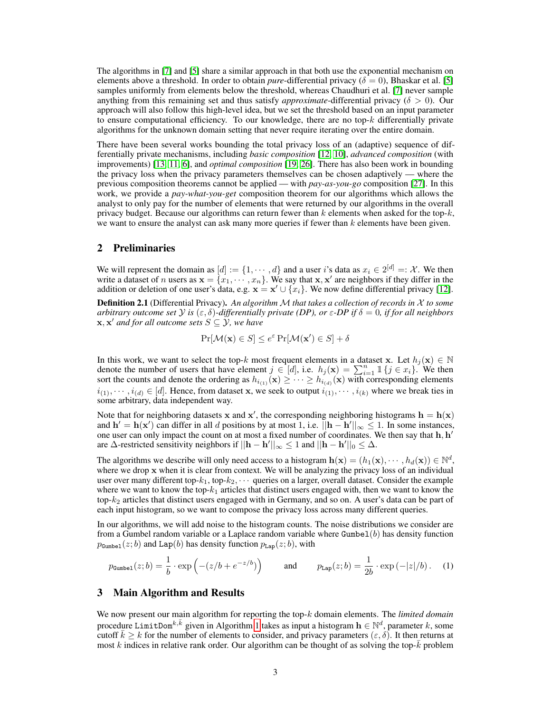The algorithms in [7] and [5] share a similar approach in that both use the exponential mechanism on elements above a threshold. In order to obtain *pure*-differential privacy ( $\delta = 0$ ), Bhaskar et al. [5] samples uniformly from elements below the threshold, whereas Chaudhuri et al. [7] never sample anything from this remaining set and thus satisfy *approximate*-differential privacy ( $\delta > 0$ ). Our approach will also follow this high-level idea, but we set the threshold based on an input parameter to ensure computational efficiency. To our knowledge, there are no top- $k$  differentially private algorithms for the unknown domain setting that never require iterating over the entire domain.

There have been several works bounding the total privacy loss of an (adaptive) sequence of differentially private mechanisms, including *basic composition* [12, 10], *advanced composition* (with improvements) [13, 11, 6], and *optimal composition* [19, 26]. There has also been work in bounding the privacy loss when the privacy parameters themselves can be chosen adaptively — where the previous composition theorems cannot be applied — with *pay-as-you-go* composition [27]. In this work, we provide a *pay-what-you-get* composition theorem for our algorithms which allows the analyst to only pay for the number of elements that were returned by our algorithms in the overall privacy budget. Because our algorithms can return fewer than  $k$  elements when asked for the top- $k$ , we want to ensure the analyst can ask many more queries if fewer than  $k$  elements have been given.

# 2 Preliminaries

We will represent the domain as  $[d] := \{1, \dots, d\}$  and a user *i*'s data as  $x_i \in 2^{[d]} =: \mathcal{X}$ . We then write a dataset of *n* users as  $\mathbf{x} = \{x_1, \dots, x_n\}$ . We say that  $\mathbf{x}, \mathbf{x}'$  are neighbors if they differ in the addition or deletion of one user's data, e.g.  $\mathbf{x} = \mathbf{x}' \cup \{x_i\}$ . We now define differential privacy [12].

Definition 2.1 (Differential Privacy). *An algorithm* M *that takes a collection of records in* X *to some arbitrary outcome set*  $\mathcal Y$  *is*  $(\varepsilon, \delta)$ -differentially private (DP), or  $\varepsilon$ -DP if  $\delta = 0$ , if for all neighbors  ${\bf x}, {\bf x}'$  and for all outcome sets  $S \subseteq Y$ , we have

$$
\Pr[\mathcal{M}(\mathbf{x}) \in S] \le e^{\varepsilon} \Pr[\mathcal{M}(\mathbf{x}') \in S] + \delta
$$

In this work, we want to select the top-k most frequent elements in a dataset x. Let  $h_j(\mathbf{x}) \in \mathbb{N}$ denote the number of users that have element  $j \in [d]$ , i.e.  $h_j(\mathbf{x}) = \sum_{i=1}^n \mathbb{1} \{j \in x_i\}$ . We then sort the counts and denote the ordering as  $h_{i_{(1)}}(x) \geq \cdots \geq h_{i_{(d)}}(x)$  with corresponding elements  $i_{(1)}, \dots, i_{(d)} \in [d]$ . Hence, from dataset x, we seek to output  $i_{(1)}, \dots, i_{(k)}$  where we break ties in some arbitrary, data independent way.

Note that for neighboring datasets x and x', the corresponding neighboring histograms  $h = h(x)$ and  $h' = h(x')$  can differ in all d positions by at most 1, i.e.  $\|h - h'\|_{\infty} \leq 1$ . In some instances, one user can only impact the count on at most a fixed number of coordinates. We then say that  $\mathbf{h}, \mathbf{h}'$ are  $\Delta$ -restricted sensitivity neighbors if  $||\mathbf{h} - \mathbf{h}'||_{\infty} \le 1$  and  $||\mathbf{h} - \mathbf{h}'||_0 \le \Delta$ .

The algorithms we describe will only need access to a histogram  $\mathbf{h}(\mathbf{x}) = (h_1(\mathbf{x}), \dots, h_d(\mathbf{x})) \in \mathbb{N}^d$ , where we drop x when it is clear from context. We will be analyzing the privacy loss of an individual user over many different top- $k_1$ , top- $k_2$ ,  $\cdots$  queries on a larger, overall dataset. Consider the example where we want to know the top- $k_1$  articles that distinct users engaged with, then we want to know the top- $k_2$  articles that distinct users engaged with in Germany, and so on. A user's data can be part of each input histogram, so we want to compose the privacy loss across many different queries.

In our algorithms, we will add noise to the histogram counts. The noise distributions we consider are from a Gumbel random variable or a Laplace random variable where  $\text{Gumbel}(b)$  has density function  $p_{\text{Gumbel}}(z; b)$  and Lap(b) has density function  $p_{\text{Lap}}(z; b)$ , with

$$
p_{\text{Gumbel}}(z;b) = \frac{1}{b} \cdot \exp\left(-(z/b + e^{-z/b})\right) \quad \text{and} \quad p_{\text{Lap}}(z;b) = \frac{1}{2b} \cdot \exp\left(-|z|/b\right). \quad (1)
$$

# 3 Main Algorithm and Results

We now present our main algorithm for reporting the top-k domain elements. The *limited domain* procedure LimitDom<sup>k, $\bar{k}$ </sup> given in Algorithm 1 takes as input a histogram  $\mathbf{h} \in \mathbb{N}^d$ , parameter k, some cutoff  $\bar{k} \ge k$  for the number of elements to consider, and privacy parameters  $(\varepsilon, \delta)$ . It then returns at most k indices in relative rank order. Our algorithm can be thought of as solving the top- $\overline{k}$  problem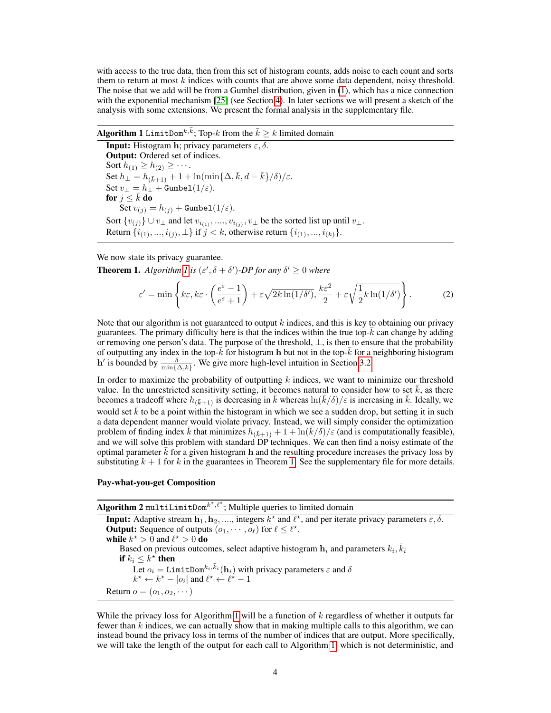with access to the true data, then from this set of histogram counts, adds noise to each count and sorts them to return at most k indices with counts that are above some data dependent, noisy threshold. The noise that we add will be from a Gumbel distribution, given in (1), which has a nice connection with the exponential mechanism [25] (see Section 4). In later sections we will present a sketch of the analysis with some extensions. We present the formal analysis in the supplementary file.

# **Algorithm 1** LimitDom<sup>k, $\bar{k}$ </sup>; Top-k from the  $\bar{k} \geq k$  limited domain

**Input:** Histogram h; privacy parameters  $\varepsilon$ ,  $\delta$ . Output: Ordered set of indices. Sort  $h_{(1)} \geq h_{(2)} \geq \cdots$ . Set  $h_{\perp} = h_{(\bar{k}+1)} + 1 + \ln(\min\{\Delta, \bar{k}, d - \bar{k}\}/\delta)/\varepsilon$ . Set  $v_{\perp} = h_{\perp} + \text{Gumbel}(1/\varepsilon)$ . for  $j \leq \bar{k}$  do Set  $v_{(i)} = h_{(i)} +$  Gumbel $(1/\varepsilon)$ . Sort  $\{v_{(j)}\} \cup v_\perp$  and let  $v_{i_{(1)}}, ..., v_{i_{(j)}}, v_\perp$  be the sorted list up until  $v_\perp$ . Return  $\{i_{(1)},...,i_{(j)},\perp\}$  if  $j < k$ , otherwise return  $\{i_{(1)},...,i_{(k)}\}$ .

We now state its privacy guarantee.

**Theorem 1.** Algorithm 1 is  $(\varepsilon', \delta + \delta')$ -DP for any  $\delta' \geq 0$  where

$$
\varepsilon' = \min\left\{ k\varepsilon, k\varepsilon \cdot \left( \frac{e^{\varepsilon} - 1}{e^{\varepsilon} + 1} \right) + \varepsilon \sqrt{2k \ln(1/\delta')}, \frac{k\varepsilon^2}{2} + \varepsilon \sqrt{\frac{1}{2}k \ln(1/\delta')} \right\}.
$$
 (2)

Note that our algorithm is not guaranteed to output  $k$  indices, and this is key to obtaining our privacy guarantees. The primary difficulty here is that the indices within the true top- $\overline{k}$  can change by adding or removing one person's data. The purpose of the threshold,  $\perp$ , is then to ensure that the probability of outputting any index in the top- $\bar{k}$  for histogram h but not in the top- $\bar{k}$  for a neighboring histogram h' is bounded by  $\frac{\delta}{\min\{\Delta,k\}}$ . We give more high-level intuition in Section 3.2.

In order to maximize the probability of outputting  $k$  indices, we want to minimize our threshold value. In the unrestricted sensitivity setting, it becomes natural to consider how to set  $\bar{k}$ , as there becomes a tradeoff where  $h_{(\bar{k}+1)}$  is decreasing in  $\bar{k}$  whereas  $\ln(\bar{k}/\delta)/\varepsilon$  is increasing in  $\bar{k}$ . Ideally, we would set  $\bar{k}$  to be a point within the histogram in which we see a sudden drop, but setting it in such a data dependent manner would violate privacy. Instead, we will simply consider the optimization problem of finding index  $\bar{k}$  that minimizes  $h_{(\bar{k}+1)} + 1 + \ln(\bar{k}/\delta)/\varepsilon$  (and is computationally feasible), and we will solve this problem with standard DP techniques. We can then find a noisy estimate of the optimal parameter  $\bar{k}$  for a given histogram h and the resulting procedure increases the privacy loss by substituting  $k + 1$  for k in the guarantees in Theorem 1. See the supplementary file for more details.

#### Pay-what-you-get Composition

 $\operatorname{\sf Algorithm~2}$  multiLimitDom ${}^{k^\star,\ell^\star};$  Multiple queries to limited domain **Input:** Adaptive stream  $\mathbf{h}_1, \mathbf{h}_2, ...,$  integers  $k^*$  and  $\ell^*$ , and per iterate privacy parameters  $\varepsilon, \delta$ . **Output:** Sequence of outputs  $(o_1, \dots, o_\ell)$  for  $\ell \leq \ell^*$ . while  $k^* > 0$  and  $\ell^* > 0$  do Based on previous outcomes, select adaptive histogram  $\mathbf{h}_i$  and parameters  $k_i$ ,  $\bar{k}_i$ if  $k_i \leq k^\star$  then Let  $o_i =$  LimitDom<sup> $k_i, \bar{k}_i$ </sup> (h<sub>i</sub>) with privacy parameters  $\varepsilon$  and  $\delta$  $k^* \leftarrow k^* - |o_i|$  and  $\ell^* \leftarrow \ell^* - 1$ Return  $o = (o_1, o_2, \dots)$ 

While the privacy loss for Algorithm 1 will be a function of  $k$  regardless of whether it outputs far fewer than  $k$  indices, we can actually show that in making multiple calls to this algorithm, we can instead bound the privacy loss in terms of the number of indices that are output. More specifically, we will take the length of the output for each call to Algorithm 1, which is not deterministic, and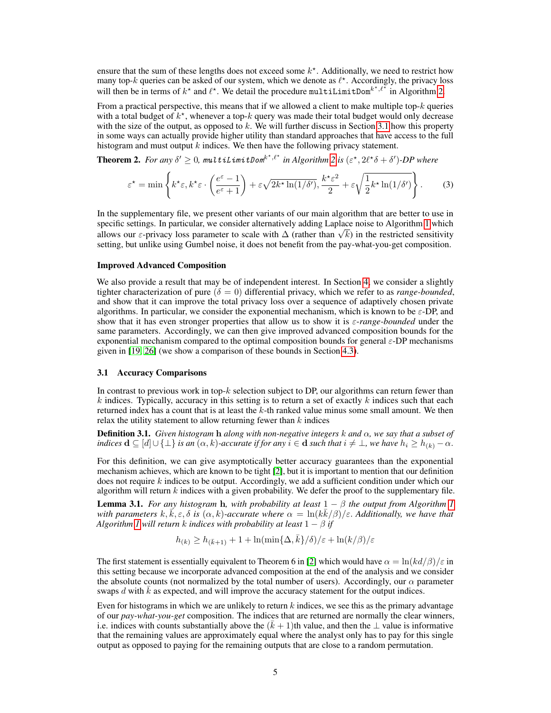ensure that the sum of these lengths does not exceed some  $k^*$ . Additionally, we need to restrict how many top-k queries can be asked of our system, which we denote as  $\ell^*$ . Accordingly, the privacy loss will then be in terms of  $k^*$  and  $\ell^*$ . We detail the procedure multiLimitDom<sup> $k^*, \ell^*$ </sup> in Algorithm 2.

From a practical perspective, this means that if we allowed a client to make multiple top- $k$  queries with a total budget of  $k^*$ , whenever a top-k query was made their total budget would only decrease with the size of the output, as opposed to  $k$ . We will further discuss in Section 3.1 how this property in some ways can actually provide higher utility than standard approaches that have access to the full histogram and must output  $k$  indices. We then have the following privacy statement.

**Theorem 2.** For any  $\delta' \geq 0$ , multiLimitDom<sup>k\*, $\ell^*$ </sup> in Algorithm 2 is  $(\varepsilon^*, 2\ell^*\delta + \delta')$ -DP where

$$
\varepsilon^* = \min\left\{ k^* \varepsilon, k^* \varepsilon \cdot \left( \frac{e^{\varepsilon} - 1}{e^{\varepsilon} + 1} \right) + \varepsilon \sqrt{2k^* \ln(1/\delta')}, \frac{k^* \varepsilon^2}{2} + \varepsilon \sqrt{\frac{1}{2} k^* \ln(1/\delta')} \right\}.
$$
 (3)

In the supplementary file, we present other variants of our main algorithm that are better to use in specific settings. In particular, we consider alternatively adding Laplace noise to Algorithm 1 which spectuc settings. In particular, we consider atternatively adding Laplace holse to Algorithm 1 which<br>allows our  $\varepsilon$ -privacy loss parameter to scale with  $\Delta$  (rather than  $\sqrt{k}$ ) in the restricted sensitivity setting, but unlike using Gumbel noise, it does not benefit from the pay-what-you-get composition.

#### Improved Advanced Composition

We also provide a result that may be of independent interest. In Section 4, we consider a slightly tighter characterization of pure  $(\delta = 0)$  differential privacy, which we refer to as *range-bounded*, and show that it can improve the total privacy loss over a sequence of adaptively chosen private algorithms. In particular, we consider the exponential mechanism, which is known to be  $\varepsilon$ -DP, and show that it has even stronger properties that allow us to show it is ε-*range-bounded* under the same parameters. Accordingly, we can then give improved advanced composition bounds for the exponential mechanism compared to the optimal composition bounds for general ε-DP mechanisms given in [19, 26] (we show a comparison of these bounds in Section 4.3).

#### 3.1 Accuracy Comparisons

In contrast to previous work in top- $k$  selection subject to DP, our algorithms can return fewer than  $k$  indices. Typically, accuracy in this setting is to return a set of exactly  $k$  indices such that each returned index has a count that is at least the  $k$ -th ranked value minus some small amount. We then relax the utility statement to allow returning fewer than  $k$  indices

Definition 3.1. *Given histogram* h *along with non-negative integers* k *and* α*, we say that a subset of indices*  $\mathbf{d} \subseteq [d] \cup \{\perp\}$  *is an*  $(\alpha, k)$ -accurate if for any  $i \in \mathbf{d}$  *such that*  $i \neq \perp$ , we have  $h_i \geq h_{(k)} - \alpha$ .

For this definition, we can give asymptotically better accuracy guarantees than the exponential mechanism achieves, which are known to be tight [2], but it is important to mention that our definition does not require  $k$  indices to be output. Accordingly, we add a sufficient condition under which our algorithm will return  $k$  indices with a given probability. We defer the proof to the supplementary file.

**Lemma 3.1.** *For any histogram* **h**, with probability at least  $1 - \beta$  *the output from Algorithm 1* with parameters  $k, \vec{k}, \varepsilon, \delta$  is  $(\alpha, k)$ -accurate where  $\alpha = \ln(k\bar{k}/\beta)/\varepsilon$ . Additionally, we have that *Algorithm 1* will return k *indices with probability at least*  $1 - \beta$  *if* 

$$
h_{(k)} \geq h_{(\bar{k}+1)} + 1 + \ln(\min\{\Delta,\bar{k}\}/\delta)/\varepsilon + \ln(k/\beta)/\varepsilon
$$

The first statement is essentially equivalent to Theorem 6 in [2] which would have  $\alpha = \ln(kd/\beta)/\epsilon$  in this setting because we incorporate advanced composition at the end of the analysis and we consider the absolute counts (not normalized by the total number of users). Accordingly, our  $\alpha$  parameter swaps d with  $\overline{k}$  as expected, and will improve the accuracy statement for the output indices.

Even for histograms in which we are unlikely to return  $k$  indices, we see this as the primary advantage of our *pay-what-you-get* composition. The indices that are returned are normally the clear winners, i.e. indices with counts substantially above the  $(\bar{k} + 1)$ th value, and then the ⊥ value is informative that the remaining values are approximately equal where the analyst only has to pay for this single output as opposed to paying for the remaining outputs that are close to a random permutation.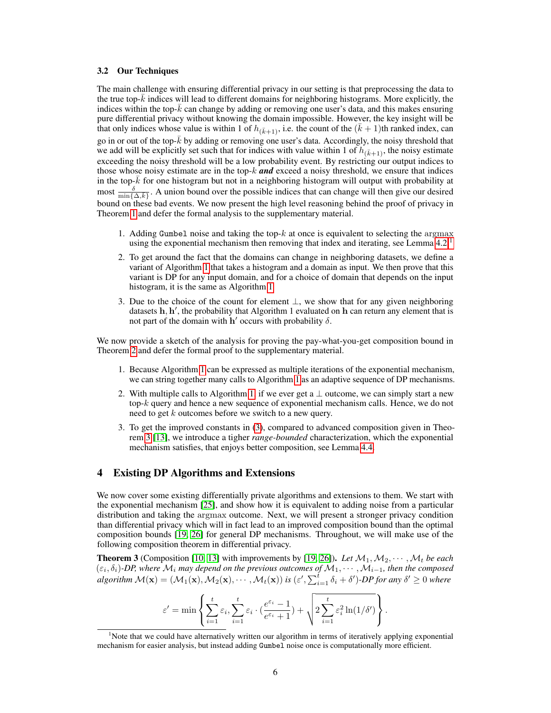#### 3.2 Our Techniques

The main challenge with ensuring differential privacy in our setting is that preprocessing the data to the true top- $k$  indices will lead to different domains for neighboring histograms. More explicitly, the indices within the top- $k$  can change by adding or removing one user's data, and this makes ensuring pure differential privacy without knowing the domain impossible. However, the key insight will be that only indices whose value is within 1 of  $h_{(\bar{k}+1)}$ , i.e. the count of the  $(\bar{k} + 1)$ th ranked index, can go in or out of the top- $k$  by adding or removing one user's data. Accordingly, the noisy threshold that we add will be explicitly set such that for indices with value within 1 of  $h_{(\bar{k}+1)}$ , the noisy estimate exceeding the noisy threshold will be a low probability event. By restricting our output indices to those whose noisy estimate are in the top-k *and* exceed a noisy threshold, we ensure that indices in the top- $\bar{k}$  for one histogram but not in a neighboring histogram will output with probability at most  $\frac{\delta}{\min\{\Delta,\bar{k}\}}$ . A union bound over the possible indices that can change will then give our desired bound on these bad events. We now present the high level reasoning behind the proof of privacy in Theorem 1 and defer the formal analysis to the supplementary material.

- 1. Adding Gumbel noise and taking the top- $k$  at once is equivalent to selecting the argmax using the exponential mechanism then removing that index and iterating, see Lemma  $4.2<sup>1</sup>$
- 2. To get around the fact that the domains can change in neighboring datasets, we define a variant of Algorithm 1 that takes a histogram and a domain as input. We then prove that this variant is DP for any input domain, and for a choice of domain that depends on the input histogram, it is the same as Algorithm 1
- 3. Due to the choice of the count for element  $\perp$ , we show that for any given neighboring datasets h, h', the probability that Algorithm 1 evaluated on h can return any element that is not part of the domain with  $h'$  occurs with probability  $\delta$ .

We now provide a sketch of the analysis for proving the pay-what-you-get composition bound in Theorem 2 and defer the formal proof to the supplementary material.

- 1. Because Algorithm 1 can be expressed as multiple iterations of the exponential mechanism, we can string together many calls to Algorithm 1 as an adaptive sequence of DP mechanisms.
- 2. With multiple calls to Algorithm 1, if we ever get a  $\perp$  outcome, we can simply start a new top- $k$  query and hence a new sequence of exponential mechanism calls. Hence, we do not need to get k outcomes before we switch to a new query.
- 3. To get the improved constants in (3), compared to advanced composition given in Theorem 3 [13], we introduce a tigher *range-bounded* characterization, which the exponential mechanism satisfies, that enjoys better composition, see Lemma 4.4.

# 4 Existing DP Algorithms and Extensions

We now cover some existing differentially private algorithms and extensions to them. We start with the exponential mechanism [25], and show how it is equivalent to adding noise from a particular distribution and taking the argmax outcome. Next, we will present a stronger privacy condition than differential privacy which will in fact lead to an improved composition bound than the optimal composition bounds [19, 26] for general DP mechanisms. Throughout, we will make use of the following composition theorem in differential privacy.

**Theorem 3** (Composition [10, 13] with improvements by [19, 26]). Let  $M_1, M_2, \cdots, M_t$  be each  $(\varepsilon_i, \delta_i)$ -DP, where  $\mathcal{M}_i$  may depend on the previous outcomes of  $\mathcal{M}_1, \cdots, \mathcal{M}_{i-1}$ , then the composed  $algorithm \mathcal{M}(\mathbf{x}) = (\mathcal{M}_1(\mathbf{x}), \mathcal{M}_2(\mathbf{x}), \cdots, \mathcal{M}_t(\mathbf{x}))$  *is*  $(\varepsilon', \sum_{i=1}^t \delta_i + \delta')$ -*DP* for any  $\delta' \geq 0$  where

$$
\varepsilon' = \min \left\{ \sum_{i=1}^t \varepsilon_i, \sum_{i=1}^t \varepsilon_i \cdot (\frac{e^{\varepsilon_i} - 1}{e^{\varepsilon_i} + 1}) + \sqrt{2 \sum_{i=1}^t \varepsilon_i^2 \ln(1/\delta')} \right\}.
$$

<sup>&</sup>lt;sup>1</sup>Note that we could have alternatively written our algorithm in terms of iteratively applying exponential mechanism for easier analysis, but instead adding Gumbel noise once is computationally more efficient.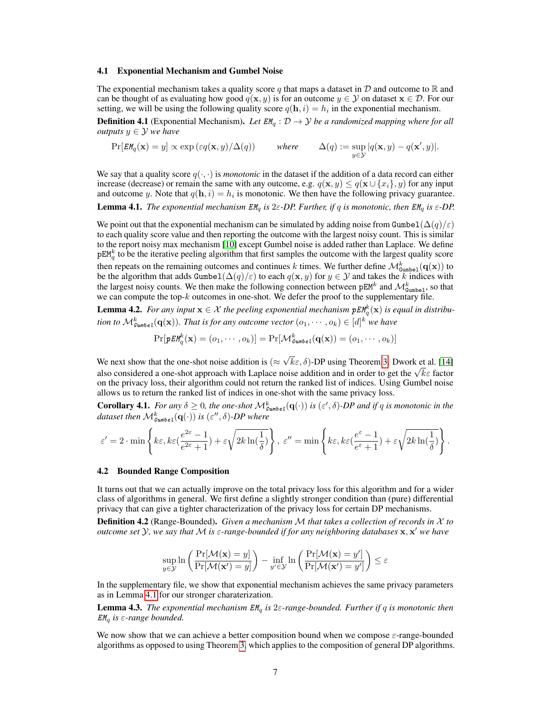#### 4.1 Exponential Mechanism and Gumbel Noise

The exponential mechanism takes a quality score q that maps a dataset in  $\mathcal D$  and outcome to  $\mathbb R$  and can be thought of as evaluating how good  $q(x, y)$  is for an outcome  $y \in Y$  on dataset  $x \in \mathcal{D}$ . For our setting, we will be using the following quality score  $q(\mathbf{h}, i) = h_i$  in the exponential mechanism.

**Definition 4.1** (Exponential Mechanism). Let  $EM_a$ :  $D \rightarrow Y$  be a randomized mapping where for all *outputs*  $y \in Y$  *we have* 

$$
\Pr[EM_q(\mathbf{x}) = y] \propto \exp\left(\varepsilon q(\mathbf{x}, y) / \Delta(q)\right) \quad \text{where} \quad \Delta(q) := \sup_{y \in \mathcal{Y}} |q(\mathbf{x}, y) - q(\mathbf{x}', y)|.
$$

We say that a quality score  $q(\cdot, \cdot)$  is *monotonic* in the dataset if the addition of a data record can either increase (decrease) or remain the same with any outcome, e.g.  $q(\mathbf{x}, y) \leq q(\mathbf{x} \cup \{x_i\}, y)$  for any input and outcome y. Note that  $q(\mathbf{h}, i) = h_i$  is monotonic. We then have the following privacy guarantee. **Lemma 4.1.** *The exponential mechanism*  $EM_q$  *is*  $2\varepsilon$ -*DP. Further, if* q *is monotonic, then*  $EM_q$  *is*  $\varepsilon$ -*DP.* 

We point out that the exponential mechanism can be simulated by adding noise from Gumbel( $\Delta(q)/\epsilon$ ) to each quality score value and then reporting the outcome with the largest noisy count. This is similar to the report noisy max mechanism [10] except Gumbel noise is added rather than Laplace. We define  $pEM_q^k$  to be the iterative peeling algorithm that first samples the outcome with the largest quality score then repeats on the remaining outcomes and continues k times. We further define  $\mathcal{M}^k_{\text{Gumbel}}(\mathbf{q}(\mathbf{x}))$  to be the algorithm that adds Gumbel $(\Delta(q)/\varepsilon)$  to each  $q(x, y)$  for  $y \in Y$  and takes the k indices with the largest noisy counts. We then make the following connection between  $pEM^k$  and  $\mathcal{M}_{\text{Gumbel}}^k$ , so that we can compute the top- $k$  outcomes in one-shot. We defer the proof to the supplementary file.

**Lemma 4.2.** For any input  $x \in \mathcal{X}$  the peeling exponential mechanism  $pE M_q^k(x)$  is equal in distribution to  $\mathcal{M}_{\textsf{Gumbel}}^k(\mathbf{q}(\mathbf{x}))$ . That is for any outcome vector  $(o_1,\cdots,o_k)\in [d]^k$  we have

$$
\Pr[\mathit{pEM}^k_q(\mathbf{x}) = (o_1, \cdots, o_k)] = \Pr[\mathcal{M}^k_{\mathit{Gumbel}}(\mathbf{q}(\mathbf{x})) = (o_1, \cdots, o_k)]
$$

We next show that the one-shot noise addition is ( $\approx$ √  $k\varepsilon, \delta$ )-DP using Theorem 3. Dwork et al. [14] we next show that the one-shot holder addition is  $(\approx \sqrt{\kappa \epsilon}, \delta)$ -DP using Theorem 5. Dwork et al. [14] also considered a one-shot approach with Laplace noise addition and in order to get the  $\sqrt{\kappa \epsilon}$  factor on the privacy loss, their algorithm could not return the ranked list of indices. Using Gumbel noise allows us to return the ranked list of indices in one-shot with the same privacy loss.

**Corollary 4.1.** For any  $\delta \geq 0$ , the one-shot  $\mathcal{M}_{\text{Gumbel}}^k(\mathbf{q}(\cdot))$  is  $(\varepsilon', \delta)$ -DP and if q is monotonic in the dataset then  $\mathcal{M}^k_{\mathsf{Gumbel}}(\mathbf{q}(\cdot))$  is  $(\varepsilon'', \delta)$ -DP where

$$
\varepsilon' = 2 \cdot \min \left\{ k\varepsilon, k\varepsilon \left( \frac{e^{2\varepsilon} - 1}{e^{2\varepsilon} + 1} \right) + \varepsilon \sqrt{2k \ln(\frac{1}{\delta})} \right\}, \ \varepsilon'' = \min \left\{ k\varepsilon, k\varepsilon \left( \frac{e^{\varepsilon} - 1}{e^{\varepsilon} + 1} \right) + \varepsilon \sqrt{2k \ln(\frac{1}{\delta})} \right\}.
$$

#### 4.2 Bounded Range Composition

It turns out that we can actually improve on the total privacy loss for this algorithm and for a wider class of algorithms in general. We first define a slightly stronger condition than (pure) differential privacy that can give a tighter characterization of the privacy loss for certain DP mechanisms.

Definition 4.2 (Range-Bounded). *Given a mechanism* M *that takes a collection of records in* X *to outcome set* Y*, we say that* M *is* ε*-range-bounded if for any neighboring databases* x, x <sup>0</sup> *we have*

$$
\sup_{y \in \mathcal{Y}} \ln \left( \frac{\Pr[\mathcal{M}(\mathbf{x}) = y]}{\Pr[\mathcal{M}(\mathbf{x}') = y]} \right) - \inf_{y' \in \mathcal{Y}} \ln \left( \frac{\Pr[\mathcal{M}(\mathbf{x}) = y']}{\Pr[\mathcal{M}(\mathbf{x}') = y']} \right) \le \varepsilon
$$

In the supplementary file, we show that exponential mechanism achieves the same privacy parameters as in Lemma 4.1 for our stronger charaterization.

Lemma 4.3. *The exponential mechanism* EM<sup>q</sup> *is* 2ε*-range-bounded. Further if* q *is monotonic then* EM<sup>q</sup> *is* ε*-range bounded.*

We now show that we can achieve a better composition bound when we compose  $\varepsilon$ -range-bounded algorithms as opposed to using Theorem 3, which applies to the composition of general DP algorithms.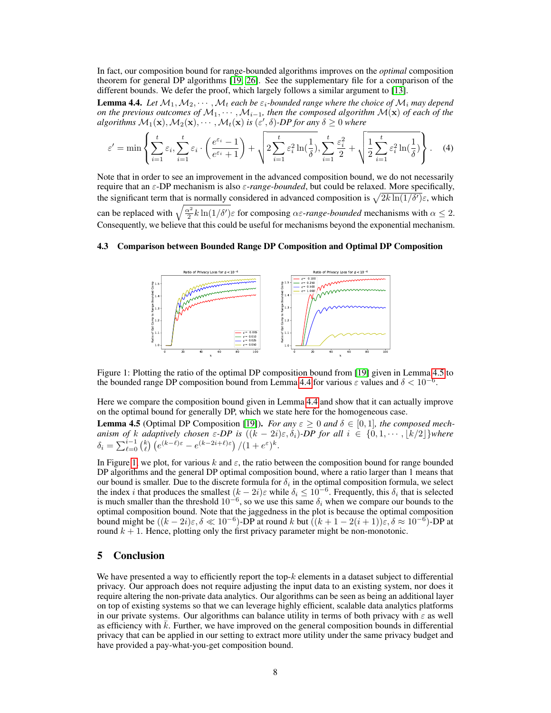In fact, our composition bound for range-bounded algorithms improves on the *optimal* composition theorem for general DP algorithms [19, 26]. See the supplementary file for a comparison of the different bounds. We defer the proof, which largely follows a similar argument to [13].

**Lemma 4.4.** Let  $M_1, M_2, \cdots, M_t$  each be  $\varepsilon_i$ -bounded range where the choice of  $M_i$  may depend *on the previous outcomes of*  $M_1, \cdots, M_{i-1}$ , then the composed algorithm  $M(x)$  of each of the  $algorithms \ M_1(\mathbf{x}), M_2(\mathbf{x}), \cdots, M_t(\mathbf{x})$  *is* ( $\varepsilon', \delta$ )-DP for any  $\delta \geq 0$  where

$$
\varepsilon' = \min\left\{ \sum_{i=1}^t \varepsilon_i, \sum_{i=1}^t \varepsilon_i \cdot \left( \frac{e^{\varepsilon_i} - 1}{e^{\varepsilon_i} + 1} \right) + \sqrt{2 \sum_{i=1}^t \varepsilon_i^2 \ln(\frac{1}{\delta})}, \sum_{i=1}^t \frac{\varepsilon_i^2}{2} + \sqrt{\frac{1}{2} \sum_{i=1}^t \varepsilon_i^2 \ln(\frac{1}{\delta})} \right\}.
$$
 (4)

Note that in order to see an improvement in the advanced composition bound, we do not necessarily require that an ε-DP mechanism is also ε-*range-bounded*, but could be relaxed. More specifically, the significant term that is normally considered in advanced composition is  $\sqrt{2k \ln(1/\delta')} \varepsilon$ , which can be replaced with  $\sqrt{\frac{\alpha^2}{2}k \ln(1/\delta')} \varepsilon$  for composing  $\alpha \varepsilon$ -*range-bounded* mechanisms with  $\alpha \le 2$ . Consequently, we believe that this could be useful for mechanisms beyond the exponential mechanism.

# 4.3 Comparison between Bounded Range DP Composition and Optimal DP Composition



Figure 1: Plotting the ratio of the optimal DP composition bound from [19] given in Lemma 4.5 to the bounded range DP composition bound from Lemma 4.4 for various  $\varepsilon$  values and  $\delta < 10^{-6}$ .

Here we compare the composition bound given in Lemma 4.4 and show that it can actually improve on the optimal bound for generally DP, which we state here for the homogeneous case.

**Lemma 4.5** (Optimal DP Composition [19]). *For any*  $\varepsilon \ge 0$  *and*  $\delta \in [0,1]$ *, the composed mechanism of* k adaptively chosen  $\varepsilon$ -DP is  $((k - 2i)\varepsilon, \delta_i)$ -DP for all  $i \in \{0, 1, \cdots, \lfloor k/2 \rfloor\}$ where  $\delta_i = \sum_{\ell=0}^{i-1} \binom{k}{\ell} \left( e^{(k-\ell)\varepsilon} - e^{(k-2i+\ell)\varepsilon} \right) / (1+e^{\varepsilon})^k.$ 

In Figure 1, we plot, for various k and  $\varepsilon$ , the ratio between the composition bound for range bounded DP algorithms and the general DP optimal composition bound, where a ratio larger than 1 means that our bound is smaller. Due to the discrete formula for  $\delta_i$  in the optimal composition formula, we select the index *i* that produces the smallest  $(k-2i)\varepsilon$  while  $\delta_i \leq 10^{-6}$ . Frequently, this  $\delta_i$  that is selected is much smaller than the threshold  $10^{-6}$ , so we use this same  $\delta_i$  when we compare our bounds to the optimal composition bound. Note that the jaggedness in the plot is because the optimal composition bound might be  $((k-2i)\varepsilon, \delta \ll 10^{-6})$ -DP at round k but  $((k+1-2(i+1))\varepsilon, \delta \approx 10^{-6})$ -DP at round  $k + 1$ . Hence, plotting only the first privacy parameter might be non-monotonic.

# 5 Conclusion

We have presented a way to efficiently report the top- $k$  elements in a dataset subject to differential privacy. Our approach does not require adjusting the input data to an existing system, nor does it require altering the non-private data analytics. Our algorithms can be seen as being an additional layer on top of existing systems so that we can leverage highly efficient, scalable data analytics platforms in our private systems. Our algorithms can balance utility in terms of both privacy with  $\varepsilon$  as well as efficiency with  $\bar{k}$ . Further, we have improved on the general composition bounds in differential privacy that can be applied in our setting to extract more utility under the same privacy budget and have provided a pay-what-you-get composition bound.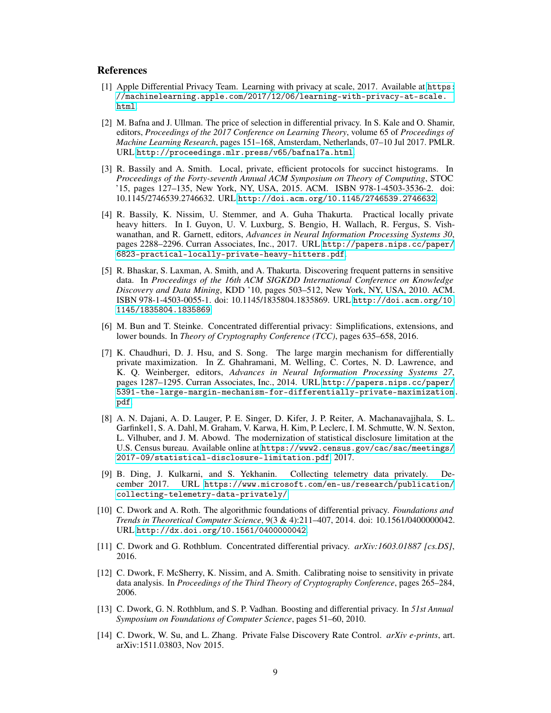# References

- [1] Apple Differential Privacy Team. Learning with privacy at scale, 2017. Available at [https:](https://machinelearning.apple.com/2017/12/06/learning-with-privacy-at-scale.html) [//machinelearning.apple.com/2017/12/06/learning-with-privacy-at-scale.](https://machinelearning.apple.com/2017/12/06/learning-with-privacy-at-scale.html) [html](https://machinelearning.apple.com/2017/12/06/learning-with-privacy-at-scale.html).
- [2] M. Bafna and J. Ullman. The price of selection in differential privacy. In S. Kale and O. Shamir, editors, *Proceedings of the 2017 Conference on Learning Theory*, volume 65 of *Proceedings of Machine Learning Research*, pages 151–168, Amsterdam, Netherlands, 07–10 Jul 2017. PMLR. URL <http://proceedings.mlr.press/v65/bafna17a.html>.
- [3] R. Bassily and A. Smith. Local, private, efficient protocols for succinct histograms. In *Proceedings of the Forty-seventh Annual ACM Symposium on Theory of Computing*, STOC '15, pages 127–135, New York, NY, USA, 2015. ACM. ISBN 978-1-4503-3536-2. doi: 10.1145/2746539.2746632. URL <http://doi.acm.org/10.1145/2746539.2746632>.
- [4] R. Bassily, K. Nissim, U. Stemmer, and A. Guha Thakurta. Practical locally private heavy hitters. In I. Guyon, U. V. Luxburg, S. Bengio, H. Wallach, R. Fergus, S. Vishwanathan, and R. Garnett, editors, *Advances in Neural Information Processing Systems 30*, pages 2288–2296. Curran Associates, Inc., 2017. URL [http://papers.nips.cc/paper/](http://papers.nips.cc/paper/6823-practical-locally-private-heavy-hitters.pdf) [6823-practical-locally-private-heavy-hitters.pdf](http://papers.nips.cc/paper/6823-practical-locally-private-heavy-hitters.pdf).
- [5] R. Bhaskar, S. Laxman, A. Smith, and A. Thakurta. Discovering frequent patterns in sensitive data. In *Proceedings of the 16th ACM SIGKDD International Conference on Knowledge Discovery and Data Mining*, KDD '10, pages 503–512, New York, NY, USA, 2010. ACM. ISBN 978-1-4503-0055-1. doi: 10.1145/1835804.1835869. URL [http://doi.acm.org/10.](http://doi.acm.org/10.1145/1835804.1835869) [1145/1835804.1835869](http://doi.acm.org/10.1145/1835804.1835869).
- [6] M. Bun and T. Steinke. Concentrated differential privacy: Simplifications, extensions, and lower bounds. In *Theory of Cryptography Conference (TCC)*, pages 635–658, 2016.
- [7] K. Chaudhuri, D. J. Hsu, and S. Song. The large margin mechanism for differentially private maximization. In Z. Ghahramani, M. Welling, C. Cortes, N. D. Lawrence, and K. Q. Weinberger, editors, *Advances in Neural Information Processing Systems 27*, pages 1287–1295. Curran Associates, Inc., 2014. URL [http://papers.nips.cc/paper/](http://papers.nips.cc/paper/5391-the-large-margin-mechanism-for-differentially-private-maximization.pdf) [5391-the-large-margin-mechanism-for-differentially-private-maximization.](http://papers.nips.cc/paper/5391-the-large-margin-mechanism-for-differentially-private-maximization.pdf) [pdf](http://papers.nips.cc/paper/5391-the-large-margin-mechanism-for-differentially-private-maximization.pdf).
- [8] A. N. Dajani, A. D. Lauger, P. E. Singer, D. Kifer, J. P. Reiter, A. Machanavajjhala, S. L. Garfinkel1, S. A. Dahl, M. Graham, V. Karwa, H. Kim, P. Leclerc, I. M. Schmutte, W. N. Sexton, L. Vilhuber, and J. M. Abowd. The modernization of statistical disclosure limitation at the U.S. Census bureau. Available online at [https://www2.census.gov/cac/sac/meetings/](https://www2.census.gov/cac/sac/meetings/2017-09/statistical-disclosure-limitation.pdf) [2017-09/statistical-disclosure-limitation.pdf](https://www2.census.gov/cac/sac/meetings/2017-09/statistical-disclosure-limitation.pdf), 2017.
- [9] B. Ding, J. Kulkarni, and S. Yekhanin. Collecting telemetry data privately. December 2017. URL [https://www.microsoft.com/en-us/research/publication/](https://www.microsoft.com/en-us/research/publication/collecting-telemetry-data-privately/) [collecting-telemetry-data-privately/](https://www.microsoft.com/en-us/research/publication/collecting-telemetry-data-privately/).
- [10] C. Dwork and A. Roth. The algorithmic foundations of differential privacy. *Foundations and Trends in Theoretical Computer Science*, 9(3 & 4):211–407, 2014. doi: 10.1561/0400000042. URL <http://dx.doi.org/10.1561/0400000042>.
- [11] C. Dwork and G. Rothblum. Concentrated differential privacy. *arXiv:1603.01887 [cs.DS]*, 2016.
- [12] C. Dwork, F. McSherry, K. Nissim, and A. Smith. Calibrating noise to sensitivity in private data analysis. In *Proceedings of the Third Theory of Cryptography Conference*, pages 265–284, 2006.
- [13] C. Dwork, G. N. Rothblum, and S. P. Vadhan. Boosting and differential privacy. In *51st Annual Symposium on Foundations of Computer Science*, pages 51–60, 2010.
- [14] C. Dwork, W. Su, and L. Zhang. Private False Discovery Rate Control. *arXiv e-prints*, art. arXiv:1511.03803, Nov 2015.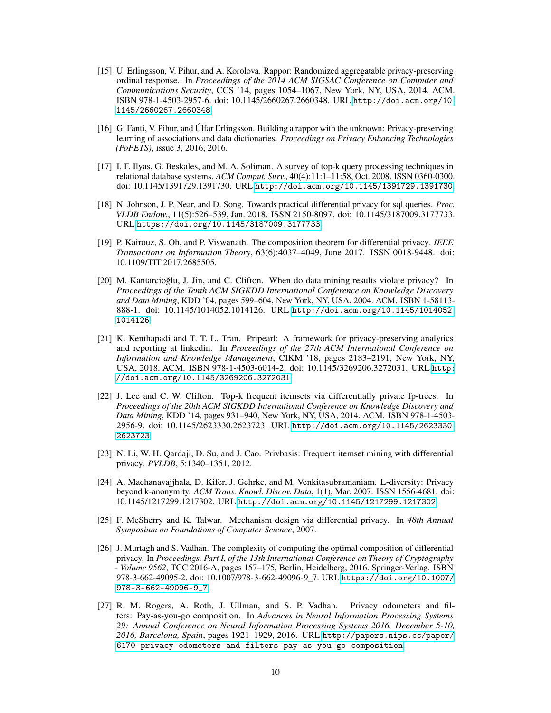- [15] U. Erlingsson, V. Pihur, and A. Korolova. Rappor: Randomized aggregatable privacy-preserving ordinal response. In *Proceedings of the 2014 ACM SIGSAC Conference on Computer and Communications Security*, CCS '14, pages 1054–1067, New York, NY, USA, 2014. ACM. ISBN 978-1-4503-2957-6. doi: 10.1145/2660267.2660348. URL [http://doi.acm.org/10.](http://doi.acm.org/10.1145/2660267.2660348) [1145/2660267.2660348](http://doi.acm.org/10.1145/2660267.2660348).
- [16] G. Fanti, V. Pihur, and Úlfar Erlingsson. Building a rappor with the unknown: Privacy-preserving learning of associations and data dictionaries. *Proceedings on Privacy Enhancing Technologies (PoPETS)*, issue 3, 2016, 2016.
- [17] I. F. Ilyas, G. Beskales, and M. A. Soliman. A survey of top-k query processing techniques in relational database systems. *ACM Comput. Surv.*, 40(4):11:1–11:58, Oct. 2008. ISSN 0360-0300. doi: 10.1145/1391729.1391730. URL <http://doi.acm.org/10.1145/1391729.1391730>.
- [18] N. Johnson, J. P. Near, and D. Song. Towards practical differential privacy for sql queries. *Proc. VLDB Endow.*, 11(5):526–539, Jan. 2018. ISSN 2150-8097. doi: 10.1145/3187009.3177733. URL <https://doi.org/10.1145/3187009.3177733>.
- [19] P. Kairouz, S. Oh, and P. Viswanath. The composition theorem for differential privacy. *IEEE Transactions on Information Theory*, 63(6):4037–4049, June 2017. ISSN 0018-9448. doi: 10.1109/TIT.2017.2685505.
- [20] M. Kantarcioğlu, J. Jin, and C. Clifton. When do data mining results violate privacy? In *Proceedings of the Tenth ACM SIGKDD International Conference on Knowledge Discovery and Data Mining*, KDD '04, pages 599–604, New York, NY, USA, 2004. ACM. ISBN 1-58113- 888-1. doi: 10.1145/1014052.1014126. URL [http://doi.acm.org/10.1145/1014052.](http://doi.acm.org/10.1145/1014052.1014126) [1014126](http://doi.acm.org/10.1145/1014052.1014126).
- [21] K. Kenthapadi and T. T. L. Tran. Pripearl: A framework for privacy-preserving analytics and reporting at linkedin. In *Proceedings of the 27th ACM International Conference on Information and Knowledge Management*, CIKM '18, pages 2183–2191, New York, NY, USA, 2018. ACM. ISBN 978-1-4503-6014-2. doi: 10.1145/3269206.3272031. URL [http:](http://doi.acm.org/10.1145/3269206.3272031) [//doi.acm.org/10.1145/3269206.3272031](http://doi.acm.org/10.1145/3269206.3272031).
- [22] J. Lee and C. W. Clifton. Top-k frequent itemsets via differentially private fp-trees. In *Proceedings of the 20th ACM SIGKDD International Conference on Knowledge Discovery and Data Mining*, KDD '14, pages 931–940, New York, NY, USA, 2014. ACM. ISBN 978-1-4503- 2956-9. doi: 10.1145/2623330.2623723. URL [http://doi.acm.org/10.1145/2623330.](http://doi.acm.org/10.1145/2623330.2623723) [2623723](http://doi.acm.org/10.1145/2623330.2623723).
- [23] N. Li, W. H. Qardaji, D. Su, and J. Cao. Privbasis: Frequent itemset mining with differential privacy. *PVLDB*, 5:1340–1351, 2012.
- [24] A. Machanavajjhala, D. Kifer, J. Gehrke, and M. Venkitasubramaniam. L-diversity: Privacy beyond k-anonymity. *ACM Trans. Knowl. Discov. Data*, 1(1), Mar. 2007. ISSN 1556-4681. doi: 10.1145/1217299.1217302. URL <http://doi.acm.org/10.1145/1217299.1217302>.
- [25] F. McSherry and K. Talwar. Mechanism design via differential privacy. In *48th Annual Symposium on Foundations of Computer Science*, 2007.
- [26] J. Murtagh and S. Vadhan. The complexity of computing the optimal composition of differential privacy. In *Proceedings, Part I, of the 13th International Conference on Theory of Cryptography - Volume 9562*, TCC 2016-A, pages 157–175, Berlin, Heidelberg, 2016. Springer-Verlag. ISBN 978-3-662-49095-2. doi: 10.1007/978-3-662-49096-9\_7. URL [https://doi.org/10.1007/](https://doi.org/10.1007/978-3-662-49096-9_7) [978-3-662-49096-9\\_7](https://doi.org/10.1007/978-3-662-49096-9_7).
- [27] R. M. Rogers, A. Roth, J. Ullman, and S. P. Vadhan. Privacy odometers and filters: Pay-as-you-go composition. In *Advances in Neural Information Processing Systems 29: Annual Conference on Neural Information Processing Systems 2016, December 5-10, 2016, Barcelona, Spain*, pages 1921–1929, 2016. URL [http://papers.nips.cc/paper/](http://papers.nips.cc/paper/6170-privacy-odometers-and-filters-pay-as-you-go-composition) [6170-privacy-odometers-and-filters-pay-as-you-go-composition](http://papers.nips.cc/paper/6170-privacy-odometers-and-filters-pay-as-you-go-composition).